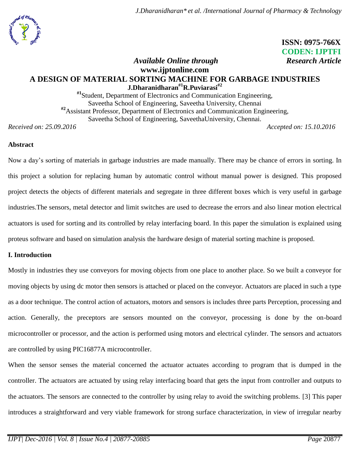

 **ISSN: 0975-766X CODEN: IJPTFI**

# *Available Online through* Research Article **www.ijptonline.com A DESIGN OF MATERIAL SORTING MACHINE FOR GARBAGE INDUSTRIES J.Dharanidharan#1R.Puviarasi#2**

**#1**Student, Department of Electronics and Communication Engineering, Saveetha School of Engineering, Saveetha University, Chennai **#2**Assistant Professor, Department of Electronics and Communication Engineering, Saveetha School of Engineering, SaveethaUniversity, Chennai.

*Received on: 25.09.2016 Accepted on: 15.10.2016*

### **Abstract**

Now a day's sorting of materials in garbage industries are made manually. There may be chance of errors in sorting. In this project a solution for replacing human by automatic control without manual power is designed. This proposed project detects the objects of different materials and segregate in three different boxes which is very useful in garbage industries.The sensors, metal detector and limit switches are used to decrease the errors and also linear motion electrical actuators is used for sorting and its controlled by relay interfacing board. In this paper the simulation is explained using proteus software and based on simulation analysis the hardware design of material sorting machine is proposed.

#### **I. Introduction**

Mostly in industries they use conveyors for moving objects from one place to another place. So we built a conveyor for moving objects by using dc motor then sensors is attached or placed on the conveyor. Actuators are placed in such a type as a door technique. The control action of actuators, motors and sensors is includes three parts Perception, processing and action. Generally, the preceptors are sensors mounted on the conveyor, processing is done by the on-board microcontroller or processor, and the action is performed using motors and electrical cylinder. The sensors and actuators are controlled by using PIC16877A microcontroller.

When the sensor senses the material concerned the actuator actuates according to program that is dumped in the controller. The actuators are actuated by using relay interfacing board that gets the input from controller and outputs to the actuators. The sensors are connected to the controller by using relay to avoid the switching problems. [3] This paper introduces a straightforward and very viable framework for strong surface characterization, in view of irregular nearby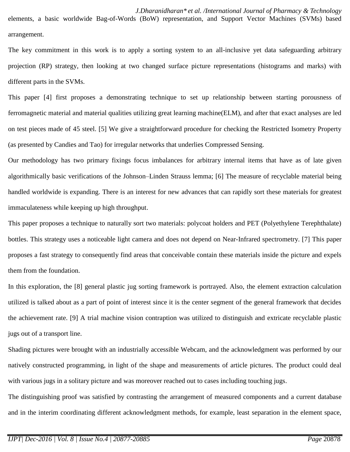*J.Dharanidharan\* et al. /International Journal of Pharmacy & Technology* elements, a basic worldwide Bag-of-Words (BoW) representation, and Support Vector Machines (SVMs) based

The key commitment in this work is to apply a sorting system to an all-inclusive yet data safeguarding arbitrary projection (RP) strategy, then looking at two changed surface picture representations (histograms and marks) with different parts in the SVMs.

This paper [4] first proposes a demonstrating technique to set up relationship between starting porousness of ferromagnetic material and material qualities utilizing great learning machine(ELM), and after that exact analyses are led on test pieces made of 45 steel. [5] We give a straightforward procedure for checking the Restricted Isometry Property (as presented by Candies and Tao) for irregular networks that underlies Compressed Sensing.

Our methodology has two primary fixings focus imbalances for arbitrary internal items that have as of late given algorithmically basic verifications of the Johnson–Linden Strauss lemma; [6] The measure of recyclable material being handled worldwide is expanding. There is an interest for new advances that can rapidly sort these materials for greatest immaculateness while keeping up high throughput.

This paper proposes a technique to naturally sort two materials: polycoat holders and PET (Polyethylene Terephthalate) bottles. This strategy uses a noticeable light camera and does not depend on Near-Infrared spectrometry. [7] This paper proposes a fast strategy to consequently find areas that conceivable contain these materials inside the picture and expels them from the foundation.

In this exploration, the [8] general plastic jug sorting framework is portrayed. Also, the element extraction calculation utilized is talked about as a part of point of interest since it is the center segment of the general framework that decides the achievement rate. [9] A trial machine vision contraption was utilized to distinguish and extricate recyclable plastic jugs out of a transport line.

Shading pictures were brought with an industrially accessible Webcam, and the acknowledgment was performed by our natively constructed programming, in light of the shape and measurements of article pictures. The product could deal with various jugs in a solitary picture and was moreover reached out to cases including touching jugs.

The distinguishing proof was satisfied by contrasting the arrangement of measured components and a current database and in the interim coordinating different acknowledgment methods, for example, least separation in the element space,

arrangement.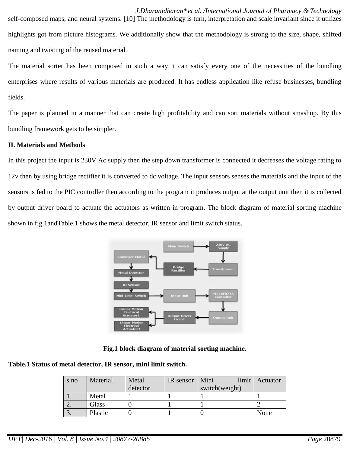*J.Dharanidharan\* et al. /International Journal of Pharmacy & Technology* self-composed maps, and neural systems. [10] The methodology is turn, interpretation and scale invariant since it utilizes highlights got from picture histograms. We additionally show that the methodology is strong to the size, shape, shifted naming and twisting of the reused material.

The material sorter has been composed in such a way it can satisfy every one of the necessities of the bundling enterprises where results of various materials are produced. It has endless application like refuse businesses, bundling fields.

The paper is planned in a manner that can create high profitability and can sort materials without smashup. By this bundling framework gets to be simpler.

#### **II. Materials and Methods**

In this project the input is 230V Ac supply then the step down transformer is connected it decreases the voltage rating to 12v then by using bridge rectifier it is converted to dc voltage. The input sensors senses the materials and the input of the sensors is fed to the PIC controller then according to the program it produces output at the output unit then it is collected by output driver board to actuate the actuators as written in program. The block diagram of material sorting machine shown in fig.1andTable.1 shows the metal detector, IR sensor and limit switch status.



**Fig.1 block diagram of material sorting machine.**

**Table.1 Status of metal detector, IR sensor, mini limit switch.**

| s.no | Material | Metal    | IR sensor   Mini | limit          | Actuator |
|------|----------|----------|------------------|----------------|----------|
|      |          | detector |                  | switch(weight) |          |
|      | Metal    |          |                  |                |          |
| ـ ت  | Glass    |          |                  |                |          |
|      | Plastic  |          |                  |                | None     |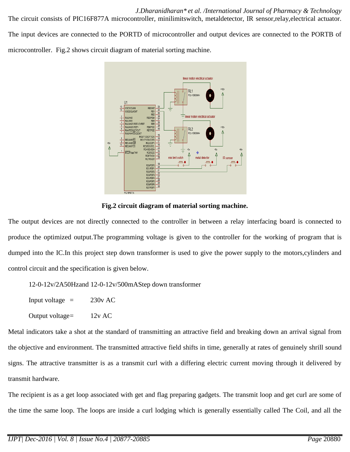*J.Dharanidharan\* et al. /International Journal of Pharmacy & Technology*

The circuit consists of PIC16F877A microcontroller, minilimitswitch, metaldetector, IR sensor,relay,electrical actuator. The input devices are connected to the PORTD of microcontroller and output devices are connected to the PORTB of microcontroller. Fig.2 shows circuit diagram of material sorting machine.



#### **Fig.2 circuit diagram of material sorting machine.**

The output devices are not directly connected to the controller in between a relay interfacing board is connected to produce the optimized output.The programming voltage is given to the controller for the working of program that is dumped into the IC.In this project step down transformer is used to give the power supply to the motors,cylinders and control circuit and the specification is given below.

12-0-12v/2A50Hzand 12-0-12v/500mAStep down transformer

Input voltage  $=$  230v AC

Output voltage= 12v AC

Metal indicators take a shot at the standard of transmitting an attractive field and breaking down an arrival signal from the objective and environment. The transmitted attractive field shifts in time, generally at rates of genuinely shrill sound signs. The attractive transmitter is as a transmit curl with a differing electric current moving through it delivered by transmit hardware.

The recipient is as a get loop associated with get and flag preparing gadgets. The transmit loop and get curl are some of the time the same loop. The loops are inside a curl lodging which is generally essentially called The Coil, and all the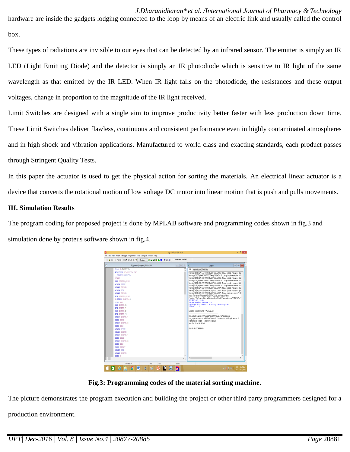*J.Dharanidharan\* et al. /International Journal of Pharmacy & Technology*

hardware are inside the gadgets lodging connected to the loop by means of an electric link and usually called the control box.

These types of radiations are invisible to our eyes that can be detected by an infrared sensor. The emitter is simply an IR LED [\(Light Emitting Diode\)](http://www.elprocus.com/explain-different-types-leds-working-applications-engineering-students/) and the detector is simply an IR photodiode which is sensitive to IR light of the same wavelength as that emitted by the IR LED. When IR light falls on the photodiode, the resistances and these output voltages, change in proportion to the magnitude of the IR light received.

Limit Switches are designed with a single aim to improve productivity better faster with less production down time. These Limit Switches deliver flawless, continuous and consistent performance even in highly contaminated atmospheres and in high shock and vibration applications. Manufactured to world class and exacting standards, each product passes through Stringent Quality Tests.

In this paper the actuator is used to get the physical action for sorting the materials. An electrical linear actuator is a device that converts the rotational motion of low voltage DC motor into linear motion that is push and pulls movements.

# **III. Simulation Results**

The program coding for proposed project is done by MPLAB software and programming codes shown in fig.3 and simulation done by proteus software shown in fig.4.



**Fig.3: Programming codes of the material sorting machine.**

The picture demonstrates the program execution and building the project or other third party programmers designed for a

production environment.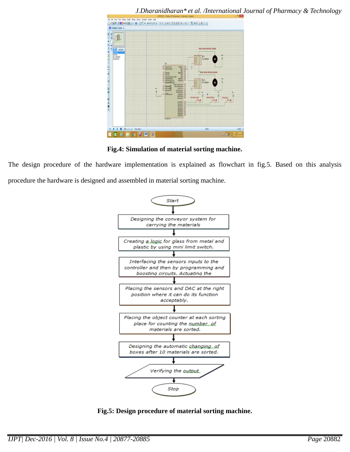

*J.Dharanidharan\* et al. /International Journal of Pharmacy & Technology*

**Fig.4: Simulation of material sorting machine.**

The design procedure of the hardware implementation is explained as flowchart in fig.5. Based on this analysis procedure the hardware is designed and assembled in material sorting machine.



**Fig.5: Design procedure of material sorting machine.**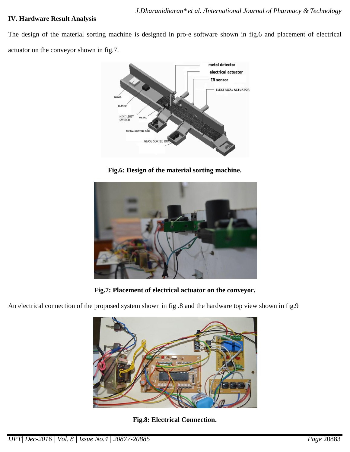#### **IV. Hardware Result Analysis**

The design of the material sorting machine is designed in pro-e software shown in fig.6 and placement of electrical actuator on the conveyor shown in fig.7.



**Fig.6: Design of the material sorting machine.**



**Fig.7: Placement of electrical actuator on the conveyor.**

An electrical connection of the proposed system shown in fig .8 and the hardware top view shown in fig.9



**Fig.8: Electrical Connection.**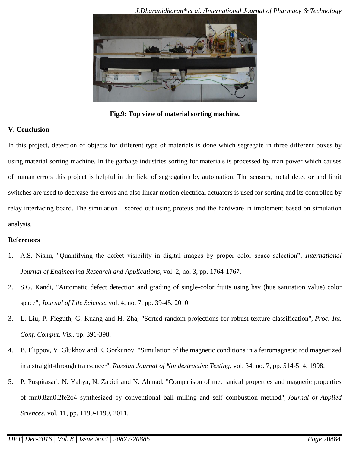

**Fig.9: Top view of material sorting machine.**

#### **V. Conclusion**

In this project, detection of objects for different type of materials is done which segregate in three different boxes by using material sorting machine. In the garbage industries sorting for materials is processed by man power which causes of human errors this project is helpful in the field of segregation by automation. The sensors, metal detector and limit switches are used to decrease the errors and also linear motion electrical actuators is used for sorting and its controlled by relay interfacing board. The simulation scored out using proteus and the hardware in implement based on simulation analysis.

#### **References**

- 1. A.S. Nishu, "Quantifying the defect visibility in digital images by proper color space selection", *International Journal of Engineering Research and Applications*, vol. 2, no. 3, pp. 1764-1767.
- 2. S.G. Kandi, "Automatic defect detection and grading of single-color fruits using hsv (hue saturation value) color space", *Journal of Life Science*, vol. 4, no. 7, pp. 39-45, 2010.
- 3. L. Liu, P. Fieguth, G. Kuang and H. Zha, "Sorted random projections for robust texture classification", *Proc. Int. Conf. Comput. Vis.*, pp. 391-398.
- 4. B. Flippov, V. Glukhov and E. Gorkunov, "Simulation of the magnetic conditions in a ferromagnetic rod magnetized in a straight-through transducer", *Russian Journal of Nondestructive Testing*, vol. 34, no. 7, pp. 514-514, 1998.
- 5. P. Puspitasari, N. Yahya, N. Zabidi and N. Ahmad, "Comparison of mechanical properties and magnetic properties of mn0.8zn0.2fe2o4 synthesized by conventional ball milling and self combustion method", *Journal of Applied Sciences*, vol. 11, pp. 1199-1199, 2011.